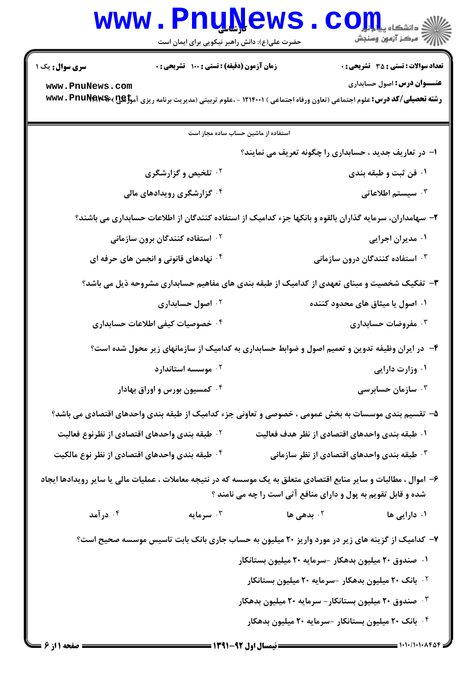## www.Pnu<u>N</u>ews.com

حضرت علي(ع): دانش راهبر نيكويي براي ايمان است

نعداد سوالات : تستي : 35 تشريحي : . زمان آزمون (دقيقه) : تستي : 100 تشريحي : . سري سوال : يک 1

**عنـــوان درس:** اصول حسابداري

**رشته تحصیلی/کد درس:** علوم اجتماعی (تعاون ورفاه اجتماعی ) ۱۲۱۴۰۰۱ - ،علوم تربیتی (مدیریت برنامه ریزی آم<del>وز W</del>Wv . PnuNews ، 2 **[www.PnuNews.com](http://pnunews.com)**

ا- در تعاریف جدید ، حسابداری را چگونه تعریف می نمایند؟ ۰۲ تلخیص و گزارشگری ۰ فن ثبت و طبقه بندی مسلمان است.<br>۱۰ فن ثبت و طبقه بندی ۰۴ گزارشگری رویدادهای مالی  $\mathcal{F}$  .  $\mathcal{F}$ استفاده از ماشین حساب ساده مجاز است ۲- سهامداران، سرمایه گذاران بالقوه و بانکها جزء کدامیک از استفاده کنندگان از اطلاعات حسابداری می باشند؟ استفاده کنندگان برون سازمانی  $\cdot$ ۲ ۰۴ نهادهای قانونی و انجمن های حرفه ای # . . ۰۴ استفاده کنندگان درون سانواز به این محمد استفاده کردند. ۳- تفکیک شخصیت و مبنای تعهدی از کدامیک از طبقه بندی های مفاهیم حسابداری مشروحه ذیل می باشد؟ ۰۱ اصول یا میثاق های محدود کننده میستر است.<br>۱۰ اصول یا میثاق های محدود کننده ۰۴ خصوصیات کیفی اطلاعات حسابداری - . . ۴- در ایران وظیفه تدوین و تعمیم اصول و ضوابط حسابداری به کدامیک از سازمانهای زیر محول شده است؟  $\cdot$  6 موسسه استاندار د  $\cdot$ کمسیون بورس و اوراق بهادار  $\cdot^{\mathsf{f}}$  # . . r ۵– تقسیم بندی موسسات به بخش عمومی ، خصوصی و تعاونی جزء کدامیک از طبقه بندی واحدهای اقتصادی می باشد؟ د طبقه بندی واحدهای اقتصادی از نظرنوع فعالیت  $^{\gamma}$ ۰۱ طبقه بندی واحدهای اقتصادی از نظر هدف فعالیت مسم<sup>ـــــ</sup> طبقه بندی واحدهای اقتصادی از نظرنو ۰۴ طبقه بندی واحدهای اقتصادی از نظر نوع مالکیت ۰۳ طبقه بندی واحدهای اقتصادی از نظر سازمانی مسلمانی استان که بندی واحدهای اقتصادی از نظر نو  $\cdot$ ۶– اموال ، مطالبات و سایر منابع اقتصادی متعلق به یک موسسه که در نتیجه معاملات ، عملیات مالی یا سایر رویدادها ایجاد شده و قابل تقویم به یول و دارای منافع آتی است را چه می نامند ؟ ۰.<br>۱. دارایی ها <sup>۲</sup>۰ بدهی ها <sup>۲۰ ب</sup>ه بدهی ها ما تا به توسطیه می شود. این معامل تا تا بدهی ها به معامل تا تا درآمد -۷– کدامیک از گزینه های زیر در مورد واریز ۲۰ میلیون به حساب جاری بانک بابت تاسیس موسسه صحیح است؟ ۰۱ صندوق ۲۰ میلیون بدهکار -سرمایه ۲۰ میلیون بستانکار ۰<sup>۲</sup> بانک ۲<mark>۰ میلیون بدهکار -سرمایه ۲۰ میلیون بستانکار</mark> ۰<sup>۳</sup> صندوق ۲۰ میلیون بستانکار – سرمایه ۲۰ میلیون بدهکار

۰۴ بانک ۲۰ میلیون بستانکار –سرمایه ۲۰ میلیون بدهکار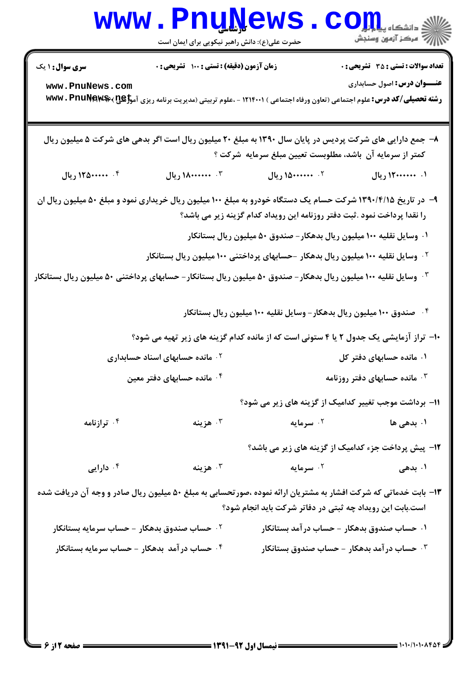|                                                                                                                                                                                           | <b>www.PnuNews</b><br>حضرت علی(ع): دانش راهبر نیکویی برای ایمان است                                                                       |                                                                        | دانشکاه پی <mark>ا با بار</mark> (<br>// مرکز آزمون وسنجش                          |  |  |
|-------------------------------------------------------------------------------------------------------------------------------------------------------------------------------------------|-------------------------------------------------------------------------------------------------------------------------------------------|------------------------------------------------------------------------|------------------------------------------------------------------------------------|--|--|
| <b>سری سوال : ۱ یک</b><br>www.PnuNews.com                                                                                                                                                 | زمان آزمون (دقیقه) : تستی : ۱۰۰٪ تشریحی : ۰                                                                                               |                                                                        | <b>تعداد سوالات : تستی : 35 - تشریحی : 0</b><br><b>عنـــوان درس:</b> اصول حسابداری |  |  |
|                                                                                                                                                                                           | رشته تحصیلی/کد درس: علوم اجتماعی (تعاون ورفاه اجتماعی ) ۱۲۱۴۰۰۱ - ،علوم تربیتی (مدیریت برنامه ریزی آم <del>وزگیلی) %ww</del> v . PnuŊew\$ |                                                                        |                                                                                    |  |  |
| ۸– جمع دارایی های شرکت پردیس در پایان سال ۱۳۹۰ به مبلغ ۲۰ میلیون ریال است اگر بدهی های شرکت ۵ میلیون ریال<br>کمتر از سرمایه آن باشد، مطلوبست تعیین مبلغ سرمایه شرکت ؟                     |                                                                                                                                           |                                                                        |                                                                                    |  |  |
| ۰۴ ۱۲۵۰۰۰۰۰۰ ریال                                                                                                                                                                         | ۰۳ . ۱۸۰۰۰۰۰۰۰ ریال                                                                                                                       | ۰۲ منصده۱۵۰ ریال                                                       | ۰۱. ۱۲۰۰۰۰۰۰۰ ریال                                                                 |  |  |
| ۹- در تاریخ ۱۳۹۰/۴/۱۵ شرکت حسام یک دستگاه خودرو به مبلغ ۱۰۰ میلیون ریال خریداری نمود و مبلغ ۵۰ میلیون ریال ان<br>را نقدا پرداخت نمود .ثبت دفتر روزنامه این رویداد کدام گزینه زیر می باشد؟ |                                                                                                                                           |                                                                        |                                                                                    |  |  |
|                                                                                                                                                                                           |                                                                                                                                           | ۰۱ وسایل نقلیه ۱۰۰ میلیون ریال بدهکار – صندوق ۵۰ میلیون ریال بستانکار  |                                                                                    |  |  |
|                                                                                                                                                                                           | <sup>۲</sup> ۰ وسایل نقلیه ۱۰۰ میلیون ریال بدهکار –حسابهای پرداختنی ۱۰۰ میلیون ریال بستانکار                                              |                                                                        |                                                                                    |  |  |
| وسایل نقلیه ۱۰۰ میلیون ریال بدهکار – صندوق ۵۰ میلیون ریال بستانکار – حسابهای پرداختنی ۵۰ میلیون ریال بستانکار "                                                                           |                                                                                                                                           |                                                                        |                                                                                    |  |  |
|                                                                                                                                                                                           |                                                                                                                                           | ۰۴ صندوق ۱۰۰ میلیون ریال بدهکار – وسایل نقلیه ۱۰۰ میلیون ریال بستانکار |                                                                                    |  |  |
|                                                                                                                                                                                           | ∙ا− تراز آزمایشی یک جدول ۲ یا ۴ ستونی است که از مانده کدام گزینه های زیر تهیه می شود؟                                                     |                                                                        |                                                                                    |  |  |
| <sup>۲ .</sup> مانده حسابهای اسناد حسابداری                                                                                                                                               |                                                                                                                                           | ۰۱ مانده حسابهای دفتر کل                                               |                                                                                    |  |  |
| ۰ <sup>۲</sup> مانده حسابهای دفتر معین<br>۰ <sup>۳</sup> مانده حسابهای دفتر روزنامه                                                                                                       |                                                                                                                                           |                                                                        |                                                                                    |  |  |
|                                                                                                                                                                                           |                                                                                                                                           |                                                                        | 1۱- برداشت موجب تغییر کدامیک از گزینه های زیر می شود؟                              |  |  |
| ۰۴ ترازنامه                                                                                                                                                                               | ۰۳ هزينه                                                                                                                                  | ۰ <sup>۲</sup> سرمایه                                                  | ۱. بدهی ها                                                                         |  |  |
|                                                                                                                                                                                           |                                                                                                                                           |                                                                        | 1۲- پیش پرداخت جزء کدامیک از گزینه های زیر می باشد؟                                |  |  |
| ۰۴ دارایی                                                                                                                                                                                 | هزينه $\cdot$ ۳                                                                                                                           | ۰ <sup>۲</sup> سرمایه                                                  | ۰۱ بدهی                                                                            |  |  |
| ۱۳- بابت خدماتی که شرکت افشار به مشتریان ارائه نموده ،صورتحسابی به مبلغ ۵۰ میلیون ریال صادر و وجه آن دریافت شده                                                                           |                                                                                                                                           | است.بابت این رویداد چه ثبتی در دفاتر شرکت باید انجام شود؟              |                                                                                    |  |  |
| ۰ <sup>۲</sup> حساب صندوق بدهکار - حساب سرمایه بستانکار                                                                                                                                   |                                                                                                                                           | ۰۱ حساب صندوق بدهکار - حساب در آمد بستانکار                            |                                                                                    |  |  |
| ۰۴ حساب در آمد بدهکار - حساب سرمایه بستانکار                                                                                                                                              |                                                                                                                                           |                                                                        | جساب در آمد بدهکار - حساب صندوق بستانکار $\cdot^{\texttt{w}}$                      |  |  |
|                                                                                                                                                                                           |                                                                                                                                           |                                                                        |                                                                                    |  |  |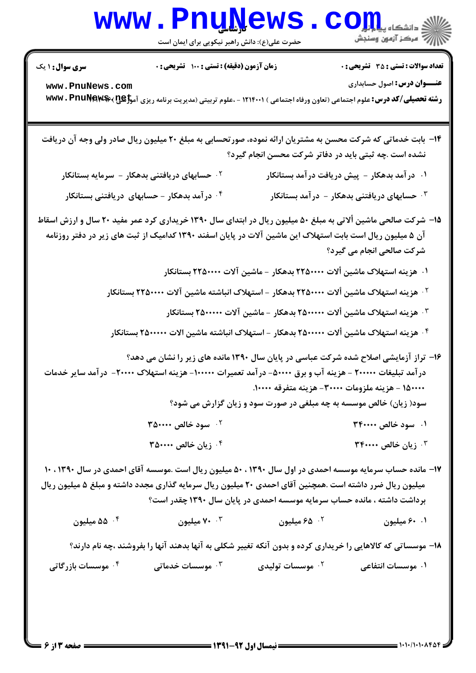## **www.PnuNews.com** ے۔<br>\||// = مرکز آزمون وسنجش

حضرت علی(ع): دانش راهبر نیکویی برای ایمان است

**تعداد سوالات : تستي : 35 ٪ تشريحي : 0** 

**زمان آزمون (دقیقه) : تستی : ۱۰۰ تشریحی: 0** 

**سری سوال :** ۱ یک

**عنــوان درس:** اصول حسابداري

www.PnuNews.com رشته تحصیلی/کد درس: علوم اجتماعی (تعاون ورفاه اجتماعی ) ۱۲۱۴۰۰۱ - ،علوم تربیتی (مدیریت برنامه ریزی آموزی )×#ww. PnuNew

۱۴- بابت خدماتی که شرکت محسن به مشتریان ارائه نموده، صورتحسابی به مبلغ ۲۰ میلیون ریال صادر ولی وجه آن دریافت نشده است .چه ثبتی باید در دفاتر شرکت محسن انجام گیرد؟ ۰۱ در آمد بدهکار - پیش دریافت در آمد بستانکار ۰<sup>۲</sup> حسابهای دریافتنی بدهکار – سرمایه بستانکار ۰<sup>۳</sup> حسابهای دریافتنی بدهکار - درآمد بستانکار ۰<sup>۴</sup> در آمد بدهکار - حسابهای دریافتنی بستانکار ۱۵- شرکت صالحی ماشین ألاتی به مبلغ ۵۰ میلیون ریال در ابتدای سال ۱۳۹۰ خریداری کرد عمر مفید ۲۰ سال و ارزش اسقاط آن ۵ میلیون ریال است بابت استهلاک این ماشین آلات در پایان اسفند ۱۳۹۰ کدامیک از ثبت های زیر در دفتر روزنامه شرکت صالحی انجام می گیرد؟ ۰۱ هزینه استهلاک ماشین ألات ۲۲۵۰۰۰۰ بدهکار - ماشین آلات ۲۲۵۰۰۰۰ بستانکار <sup>۲.</sup> هزینه استهلاک ماشین ألات ۲۲۵۰۰۰۰ بدهکار – استهلاک انباشته ماشین آلات ۲۲۵۰۰۰۰ بستانکار ۰<sup>۳ .</sup> هزینه استهلاک ماشین ألات ۲۵۰۰۰۰۰ بدهکار – ماشین آلات ۲۵۰۰۰۰۰ بستانکار <sup>۴ .</sup> هزينه استهلاک ماشين ألات ۲۵۰۰۰۰۰ بدهکار – استهلاک انباشته ماشين الات ۲۵۰۰۰۰۰ بستانکار ۱۶- تراز آزمایشی اصلاح شده شرکت عباسی در پایان سال ۱۳۹۰ مانده های زیر را نشان می دهد؟ در آمد تبلیغات ۲۰۰۰۰۰ - هزینه آب و برق ۵۰۰۰۰- در آمد تعمیرات ۱۰۰۰۰۰- هزینه استهلاک ۲۰۰۰۰- در آمد سایر خدمات ١٥٠٠٠٠) - هزينه ملزومات ٣٠٠٠٠- هزينه متفرقه ١٠٠٠٠. سود( زیان) خالص موسسه به چه مبلغی در صورت سود و زیان گزارش می شود؟ ۰۲ سود خالص ۳۵۰۰۰۰ ۰۱ سود خالص ۳۴۰۰۰۰ ۳. زيان خالص ٣۴٠٠٠٠ ۳۵۰۰۰۰ زبان خالص ۳۵۰۰۰۰  $^{\circ}$ ۱۷- مانده حساب سرمایه موسسه احمدی در اول سال ۱۳۹۰ ، ۵۰ میلیون ریال است .موسسه آقای احمدی در سال ۱۳۹۰ ، ۱۰ میلیون ریال ضرر داشته است .همچنین آقای احمدی ۲۰ میلیون ریال سرمایه گذاری مجدد داشته و مبلغ ۵ میلیون ریال برداشت داشته ، مانده حساب سرمایه موسسه احمدی در پایان سال ۱۳۹۰ چقدر است؟ ۰۳ میلیون ه میلیون  $\delta$ ۵۰۴ ۰۲ ه۶ میلیون ۰۱ ۶۰ میلیون ۱۸- موسساتی که کالاهایی را خریداری کرده و بدون آنکه تغییر شکلی به آنها بدهند آنها را بفروشند ،چه نام دارند؟

۰۴ موسسات بازرگاتی ۰۳ موسسات خدماتی ۰<sup>۲</sup> موسسات تولیدی ۰۱ موسسات انتفاعی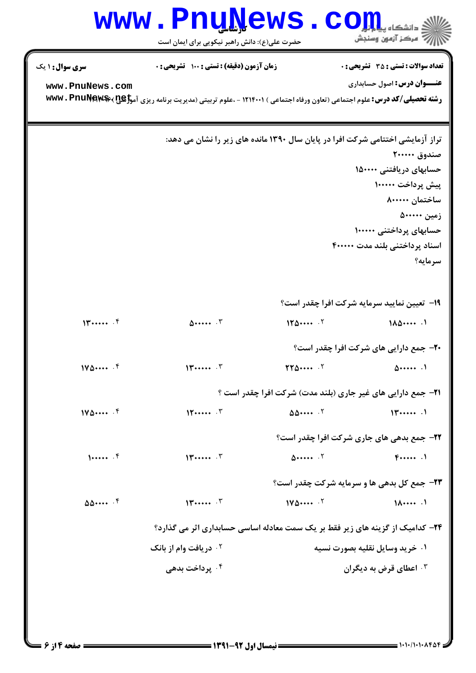## **www.PnuNews.com**

حضرت علی(ع): دانش راهبر نیکویی برای ایمان است

**تعداد سوالات : تستي : 35 ٪ تشريحي : 0** 

زمان آزمون (دقیقه) : تستی : ۱۰۰ آتشریحی : ۰

**سری سوال : ۱ یک** 

www.PnuNews.com

**عنــوان درس:** اصول حسابداري

رشته تحصیلی/کد درس: علوم اجتماعی (تعاون ورفاه اجتماعی ) ۱۲۱۴۰۰۱ - ،علوم تربیتی (مدیریت برنامه ریزی آموجی بپیچیلی/کد درس: ۷۳۷۷۰ PnuNews

تراز آزمایشی اختتامی شرکت افرا در پایان سال ۱۳۹۰ مانده های زیر را نشان می دهد: صندوق ۲۰۰۰۰۰ حسابهای دریافتنی ۱۵۰۰۰۰ ييش يرداخت ١٠٠٠٠٠ ساختمان ۸۰۰۰۰۰ زمین ۵۰۰۰۰۰ حسابهای پرداختنی ۱۰۰۰۰۰ اسناد پرداختنی بلند مدت ۴۰۰۰۰۰ سرمايه؟ **۱۹**- تعیین نمایید سرمایه شرکت افرا چقدر است؟  $11$  ......  $5$  $150...$  $1\lambda\Delta\cdots$ .  $\Delta$ .......  $\Gamma$ **۲۰**- جمع دارایی های شرکت افرا چقدر است؟  $\mathsf{YY}\Delta\cdots$  .  $\mathsf{Y}$  $1\sqrt{\Delta} \cdots$   $\sqrt{5}$  $14...$  $\Delta$ ...... **۲۱**- جمع دارایی های غیر جاری (بلند مدت) شرکت افرا چقدر است ؟  $\Delta\Delta \cdots$  .  $\zeta$  $11$  $1\sqrt{2} \cdots$  .  $5$  $15......$ **۲۲**- جمع بدهی های جاری شرکت افرا چقدر است؟  $1......$  $11$  .......  $T$  $\Delta$ ......  $\cdot$   $\cdot$   $\cdot$  $F$ ...... **۲۳**- جمع کل بدهی ها و سرمایه شرکت چقدر است؟  $\Delta\Delta \cdots$  .  $5$  $11$  ......  $17$  $110 \Delta \cdots$   $5$  $1\lambda \cdots$ **۲۴**– کدامیک از گزینه های زیر فقط بر یک سمت معادله اساسی حسابداری اثر می گذارد؟ **1. دریافت وام از بانک** ۰۱ خرید وسایل نقلیه بصورت نسیه ۰۴ پرداخت بدهي ۰<sup>۳</sup> اعطای قرض به دیگران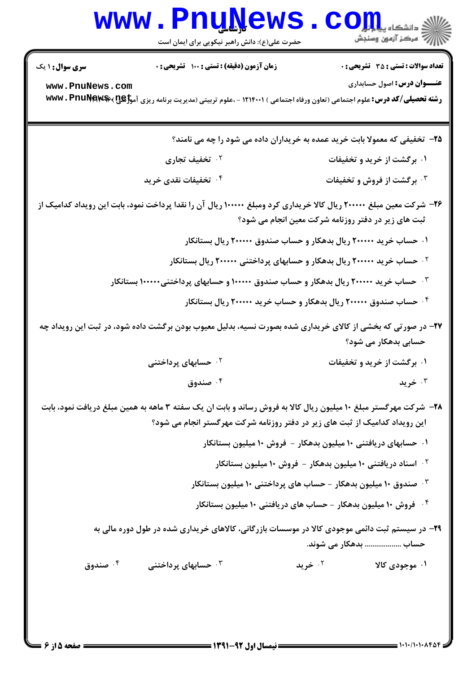|                                                                                                                                                                                                | <b>www . Pnu<u>ly</u>ews</b><br>حضرت علی(ع): دانش راهبر نیکویی برای ایمان است                                                                         |         | د دانشکاه پ <b>یا ب<sup>ا</sup> با<mark>ر</mark> ل</b><br>رُ ۖ مرڪز آزمون وسنڊش |  |
|------------------------------------------------------------------------------------------------------------------------------------------------------------------------------------------------|-------------------------------------------------------------------------------------------------------------------------------------------------------|---------|---------------------------------------------------------------------------------|--|
| <b>سری سوال : ۱ یک</b>                                                                                                                                                                         | زمان آزمون (دقیقه) : تستی : ۱۰۰ تشریحی : ۰                                                                                                            |         | <b>تعداد سوالات : تستی : 35 - تشریحی : 0</b>                                    |  |
| www.PnuNews.com                                                                                                                                                                                | <b>رشته تحصیلی/کد درس:</b> علوم اجتماعی (تعاون ورفاه اجتماعی ) ۱۲۱۴۰۰۱ - ،علوم تربیتی (مدیریت برنامه ریزی آم <del>وزگیل) %ww</del> v . Pnu <b>New</b> |         | <b>عنـــوان درس:</b> اصول حسابداری                                              |  |
|                                                                                                                                                                                                | ۲۵- تخفیفی که معمولا بابت خرید عمده به خریداران داده می شود را چه می نامند؟                                                                           |         |                                                                                 |  |
|                                                                                                                                                                                                | ۰۲ تخفیف تجاری                                                                                                                                        |         | ۰۱ برگشت از خرید و تخفیفات                                                      |  |
|                                                                                                                                                                                                | ۰۴ تخفیفات نقدی خرید                                                                                                                                  |         | ۰۳ برگشت از فروش و تخفیفات                                                      |  |
| ۲۶– شرکت معین مبلغ ۲۰۰۰۰۰ ریال کالا خریداری کرد ومبلغ ۱۰۰۰۰۰ ریال آن را نقدا پرداخت نمود، بابت این رویداد کدامیک از<br>ثبت های زیر در دفتر روزنامه شرکت معین انجام می شود؟                     |                                                                                                                                                       |         |                                                                                 |  |
| ۰۱ حساب خرید ۲۰۰۰۰۰ ریال بدهکار و حساب صندوق ۲۰۰۰۰۰ ریال بستانکار                                                                                                                              |                                                                                                                                                       |         |                                                                                 |  |
| <sup>۲.</sup> حساب خرید ۲۰۰۰۰۰ ریال بدهکار و حسابهای پرداختنی ۲۰۰۰۰۰ ریال بستانکار                                                                                                             |                                                                                                                                                       |         |                                                                                 |  |
| ۰ <sup>۳ ـ</sup> حساب خرید ۲۰۰۰۰۰ ریال بدهکار و حساب صندوق ۱۰۰۰۰۰ و حسابهای پرداختنی۱۰۰۰۰۰ بستانکار                                                                                            |                                                                                                                                                       |         |                                                                                 |  |
|                                                                                                                                                                                                | ۰۴ حساب صندوق ۲۰۰۰۰۰ ریال بدهکار و حساب خرید ۲۰۰۰۰۰ ریال بستانکار                                                                                     |         |                                                                                 |  |
| ۲۷- در صورتی که بخشی از کالای خریداری شده بصورت نسیه، بدلیل معیوب بودن برگشت داده شود، در ثبت این رویداد چه<br>حسابی بدهکار می شود؟                                                            |                                                                                                                                                       |         |                                                                                 |  |
|                                                                                                                                                                                                | <sup>۲.</sup> حسابهای پرداختنی                                                                                                                        |         | ۰۱ برگشت از خرید و تخفیفات                                                      |  |
|                                                                                                                                                                                                | ۰۴ صندوق                                                                                                                                              |         | خريد $\cdot$                                                                    |  |
| ۲۸- شرکت مهرگستر مبلغ ۱۰ میلیون ریال کالا به فروش رساند و بابت ان یک سفته ۳ ماهه به همین مبلغ دریافت نمود، بابت<br>این رویداد کدامیک از ثبت های زیر در دفتر روزنامه شرکت مهرگستر انجام می شود؟ |                                                                                                                                                       |         |                                                                                 |  |
| ۰۱ حسابهای دریافتنی ۱۰ میلیون بدهکار – فروش ۱۰ میلیون بستانکار                                                                                                                                 |                                                                                                                                                       |         |                                                                                 |  |
| <sup>۲</sup> ۰ اسناد دریافتنی ۱۰ میلیون بدهکار – فروش ۱۰ میلیون بستانکار                                                                                                                       |                                                                                                                                                       |         |                                                                                 |  |
| ون داروی ۱۰ میلیون بدهکار - حساب های پرداختنی ۱۰ میلیون بستانکار $\cdot$                                                                                                                       |                                                                                                                                                       |         |                                                                                 |  |
|                                                                                                                                                                                                | ۰۴ فروش ۱۰ میلیون بدهکار - حساب های دریافتنی ۱۰ میلیون بستانکار                                                                                       |         |                                                                                 |  |
|                                                                                                                                                                                                | ۲۹- در سیستم ثبت دائمی موجودی کالا در موسسات بازرگانی، کالاهای خریداری شده در طول دوره مالی به                                                        |         | حساب  بدهکار می شوند.                                                           |  |
| ۰۴ صندوق                                                                                                                                                                                       | ۰ <sup>۳</sup> حسابهای پرداختنی                                                                                                                       | ۰۲ خرید | ۰۱ موجودی کالا                                                                  |  |
|                                                                                                                                                                                                |                                                                                                                                                       |         |                                                                                 |  |